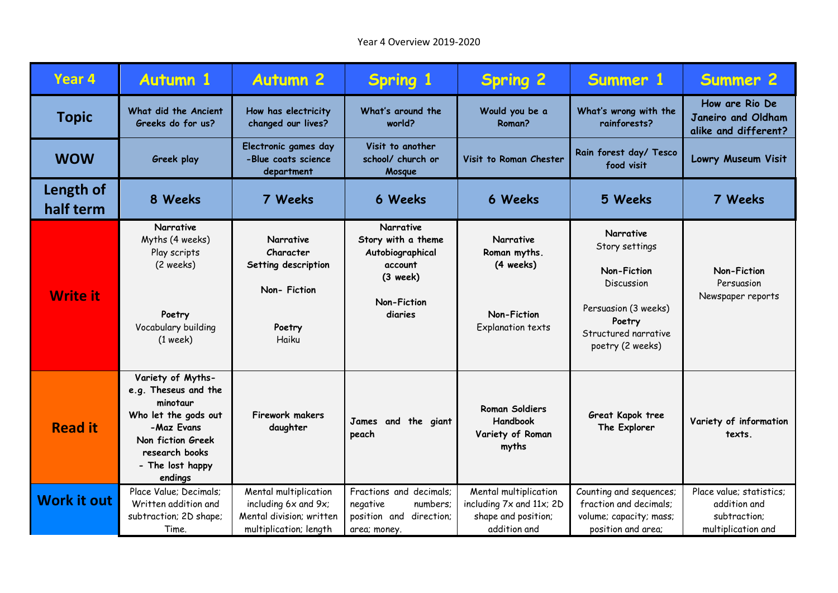| Year <sub>4</sub>      | <b>Autumn 1</b>                                                                                                                                                   | <b>Autumn 2</b>                                                                                     | <b>Spring 1</b>                                                                                               | <b>Spring 2</b>                                                                          | Summer 1                                                                                                                                             | <b>Summer 2</b>                                                                |
|------------------------|-------------------------------------------------------------------------------------------------------------------------------------------------------------------|-----------------------------------------------------------------------------------------------------|---------------------------------------------------------------------------------------------------------------|------------------------------------------------------------------------------------------|------------------------------------------------------------------------------------------------------------------------------------------------------|--------------------------------------------------------------------------------|
| <b>Topic</b>           | What did the Ancient<br>Greeks do for us?                                                                                                                         | How has electricity<br>changed our lives?                                                           | What's around the<br>world?                                                                                   | Would you be a<br>Roman?                                                                 | What's wrong with the<br>rainforests?                                                                                                                | How are Rio De<br>Janeiro and Oldham<br>alike and different?                   |
| <b>WOW</b>             | Greek play                                                                                                                                                        | Electronic games day<br>-Blue coats science<br>department                                           | Visit to another<br>school/ church or<br>Mosque                                                               | Visit to Roman Chester                                                                   | Rain forest day/ Tesco<br>food visit                                                                                                                 | Lowry Museum Visit                                                             |
| Length of<br>half term | 8 Weeks                                                                                                                                                           | 7 Weeks                                                                                             | <b>6 Weeks</b>                                                                                                | 6 Weeks                                                                                  | 5 Weeks                                                                                                                                              | 7 Weeks                                                                        |
| <b>Write it</b>        | Narrative<br>Myths (4 weeks)<br>Play scripts<br>(2 weeks)<br>Poetry<br>Vocabulary building<br>$(1$ week)                                                          | <b>Narrative</b><br>Character<br>Setting description<br>Non-Fiction<br>Poetry<br>Haiku              | <b>Narrative</b><br>Story with a theme<br>Autobiographical<br>account<br>$(3$ week)<br>Non-Fiction<br>diaries | <b>Narrative</b><br>Roman myths.<br>(4 weeks)<br>Non-Fiction<br>Explanation texts        | <b>Narrative</b><br>Story settings<br><b>Non-Fiction</b><br>Discussion<br>Persuasion (3 weeks)<br>Poetry<br>Structured narrative<br>poetry (2 weeks) | Non-Fiction<br>Persuasion<br>Newspaper reports                                 |
| <b>Read it</b>         | Variety of Myths-<br>e.g. Theseus and the<br>minotaur<br>Who let the gods out<br>-Maz Evans<br>Non fiction Greek<br>research books<br>- The lost happy<br>endings | <b>Firework makers</b><br>daughter                                                                  | James<br>and the giant<br>peach                                                                               | <b>Roman Soldiers</b><br>Handbook<br>Variety of Roman<br>myths                           | Great Kapok tree<br>The Explorer                                                                                                                     | Variety of information<br>texts.                                               |
| <b>Work it out</b>     | Place Value; Decimals;<br>Written addition and<br>subtraction; 2D shape;<br>Time.                                                                                 | Mental multiplication<br>including 6x and 9x;<br>Mental division; written<br>multiplication; length | Fractions and decimals;<br>numbers;<br>negative<br>position and<br>direction;<br>area; money.                 | Mental multiplication<br>including 7x and 11x; 2D<br>shape and position;<br>addition and | Counting and sequences;<br>fraction and decimals;<br>volume; capacity; mass;<br>position and area;                                                   | Place value; statistics;<br>addition and<br>subtraction;<br>multiplication and |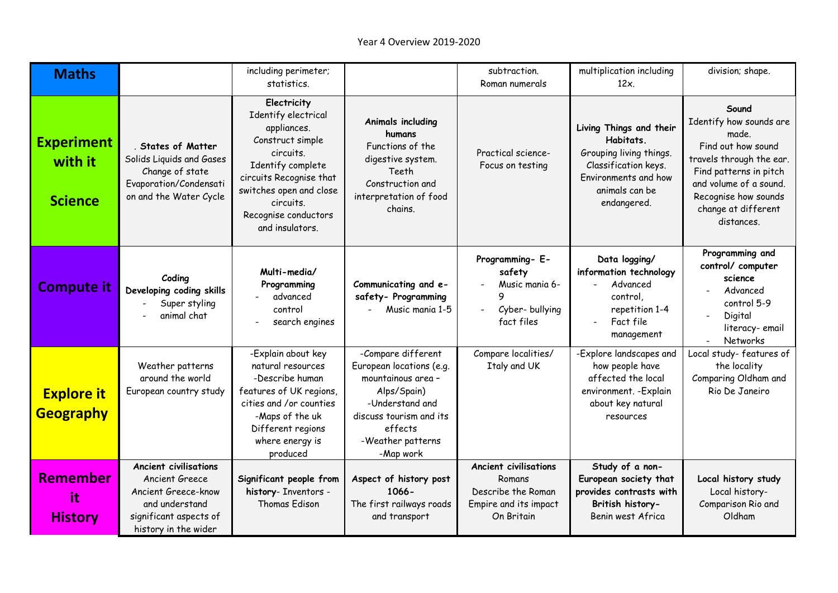| <b>Maths</b>                                   |                                                                                                                                           | including perimeter;<br>statistics.                                                                                                                                                                                   |                                                                                                                                                                                | subtraction.<br>Roman numerals                                                                      | multiplication including<br>$12x$ .                                                                                                              | division; shape.                                                                                                                                                                                             |
|------------------------------------------------|-------------------------------------------------------------------------------------------------------------------------------------------|-----------------------------------------------------------------------------------------------------------------------------------------------------------------------------------------------------------------------|--------------------------------------------------------------------------------------------------------------------------------------------------------------------------------|-----------------------------------------------------------------------------------------------------|--------------------------------------------------------------------------------------------------------------------------------------------------|--------------------------------------------------------------------------------------------------------------------------------------------------------------------------------------------------------------|
| <b>Experiment</b><br>with it<br><b>Science</b> | . States of Matter<br>Solids Liquids and Gases<br>Change of state<br>Evaporation/Condensati<br>on and the Water Cycle                     | Electricity<br>Identify electrical<br>appliances.<br>Construct simple<br>circuits.<br>Identify complete<br>circuits Recognise that<br>switches open and close<br>circuits.<br>Recognise conductors<br>and insulators. | Animals including<br>humans<br>Functions of the<br>digestive system.<br>Teeth<br>Construction and<br>interpretation of food<br>chains.                                         | Practical science-<br>Focus on testing                                                              | Living Things and their<br>Habitats.<br>Grouping living things.<br>Classification keys.<br>Environments and how<br>animals can be<br>endangered. | Sound<br>Identify how sounds are<br>made.<br>Find out how sound<br>travels through the ear.<br>Find patterns in pitch<br>and volume of a sound.<br>Recognise how sounds<br>change at different<br>distances. |
| <b>Compute it</b>                              | Coding<br>Developing coding skills<br>Super styling<br>animal chat                                                                        | Multi-media/<br>Programming<br>advanced<br>control<br>search engines                                                                                                                                                  | Communicating and e-<br>safety- Programming<br>Music mania 1-5                                                                                                                 | Programming- E-<br>safety<br>Music mania 6-<br>9<br>Cyber-bullying<br>fact files                    | Data logging/<br>information technology<br>Advanced<br>control.<br>repetition 1-4<br>Fact file<br>management                                     | Programming and<br>control/ computer<br>science<br>Advanced<br>control 5-9<br>Digital<br>literacy-email<br>Networks                                                                                          |
| <b>Explore it</b><br><b>Geography</b>          | Weather patterns<br>around the world<br>European country study                                                                            | -Explain about key<br>natural resources<br>-Describe human<br>features of UK regions,<br>cities and /or counties<br>-Maps of the uk<br>Different regions<br>where energy is<br>produced                               | -Compare different<br>European locations (e.g.<br>mountainous area -<br>Alps/Spain)<br>-Understand and<br>discuss tourism and its<br>effects<br>-Weather patterns<br>-Map work | Compare localities/<br>Italy and UK                                                                 | -Explore landscapes and<br>how people have<br>affected the local<br>environment. - Explain<br>about key natural<br>resources                     | Local study-features of<br>the locality<br>Comparing Oldham and<br>Rio De Janeiro                                                                                                                            |
| <b>Remember</b><br>it<br><b>History</b>        | <b>Ancient civilisations</b><br>Ancient Greece<br>Ancient Greece-know<br>and understand<br>significant aspects of<br>history in the wider | Significant people from<br>history- Inventors -<br>Thomas Edison                                                                                                                                                      | Aspect of history post<br>1066-<br>The first railways roads<br>and transport                                                                                                   | <b>Ancient civilisations</b><br>Romans<br>Describe the Roman<br>Empire and its impact<br>On Britain | Study of a non-<br>European society that<br>provides contrasts with<br>British history-<br>Benin west Africa                                     | Local history study<br>Local history-<br>Comparison Rio and<br>Oldham                                                                                                                                        |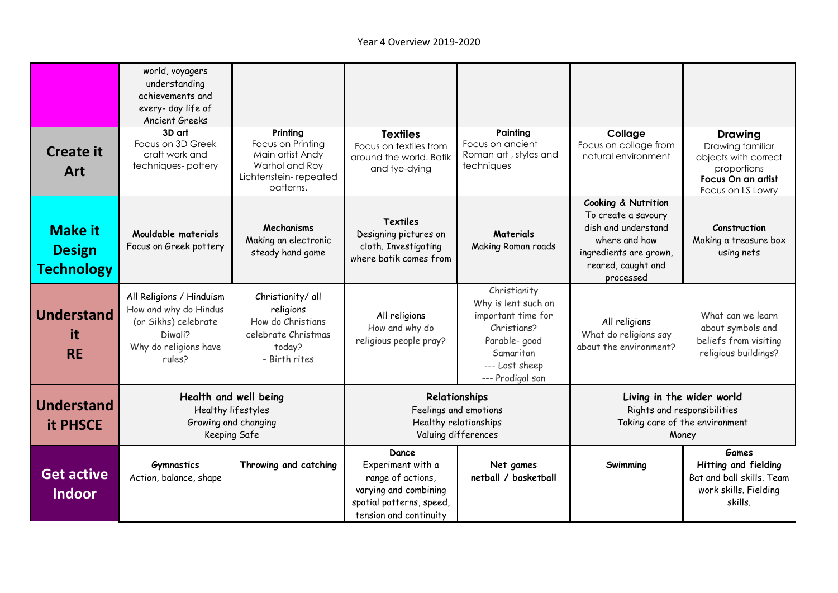| <b>Create it</b><br>Art                              | world, voyagers<br>understanding<br>achievements and<br>every- day life of<br>Ancient Greeks<br>3D art<br>Focus on 3D Greek<br>craft work and<br>techniques-pottery | Printing<br>Focus on Printing<br>Main artist Andy<br>Warhol and Roy<br>Lichtenstein-repeated          | <b>Textiles</b><br>Focus on textiles from<br>around the world. Batik<br>and tye-dying                                          | Painting<br>Focus on ancient<br>Roman art, styles and<br>techniques                                                                          | Collage<br>Focus on collage from<br>natural environment                                                                                         | <b>Drawing</b><br>Drawing familiar<br>objects with correct<br>proportions<br>Focus On an artist       |
|------------------------------------------------------|---------------------------------------------------------------------------------------------------------------------------------------------------------------------|-------------------------------------------------------------------------------------------------------|--------------------------------------------------------------------------------------------------------------------------------|----------------------------------------------------------------------------------------------------------------------------------------------|-------------------------------------------------------------------------------------------------------------------------------------------------|-------------------------------------------------------------------------------------------------------|
| <b>Make it</b><br><b>Design</b><br><b>Technology</b> | Mouldable materials<br>Focus on Greek pottery                                                                                                                       | patterns.<br>Mechanisms<br>Making an electronic<br>steady hand game                                   | <b>Textiles</b><br>Designing pictures on<br>cloth. Investigating<br>where batik comes from                                     | <b>Materials</b><br>Making Roman roads                                                                                                       | Cooking & Nutrition<br>To create a savoury<br>dish and understand<br>where and how<br>ingredients are grown,<br>reared, caught and<br>processed | Focus on LS Lowry<br>Construction<br>Making a treasure box<br>using nets                              |
| <b>Understand</b><br>it<br><b>RE</b>                 | All Religions / Hinduism<br>How and why do Hindus<br>(or Sikhs) celebrate<br>Diwali?<br>Why do religions have<br>rules?                                             | Christianity/ all<br>religions<br>How do Christians<br>celebrate Christmas<br>today?<br>- Birth rites | All religions<br>How and why do<br>religious people pray?                                                                      | Christianity<br>Why is lent such an<br>important time for<br>Christians?<br>Parable- good<br>Samaritan<br>--- Lost sheep<br>--- Prodigal son | All religions<br>What do religions say<br>about the environment?                                                                                | What can we learn<br>about symbols and<br>beliefs from visiting<br>religious buildings?               |
| <b>Understand</b><br><b>it PHSCE</b>                 | Health and well being<br>Healthy lifestyles<br>Growing and changing<br>Keeping Safe                                                                                 |                                                                                                       | Relationships<br>Feelings and emotions<br>Healthy relationships<br>Valuing differences                                         |                                                                                                                                              | Living in the wider world<br>Rights and responsibilities<br>Taking care of the environment<br>Money                                             |                                                                                                       |
| <b>Get active</b><br><b>Indoor</b>                   | <b>Gymnastics</b><br>Action, balance, shape                                                                                                                         | Throwing and catching                                                                                 | Dance<br>Experiment with a<br>range of actions,<br>varying and combining<br>spatial patterns, speed,<br>tension and continuity | Net games<br>netball / basketball                                                                                                            | Swimming                                                                                                                                        | <b>Games</b><br>Hitting and fielding<br>Bat and ball skills. Team<br>work skills. Fielding<br>skills. |